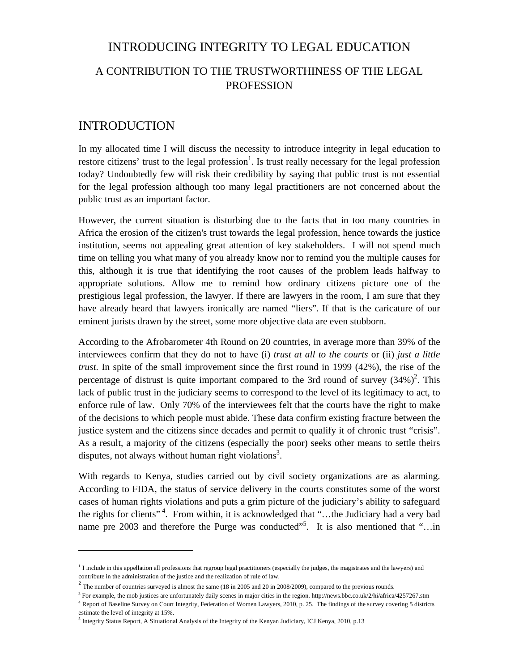#### INTRODUCING INTEGRITY TO LEGAL EDUCATION

## A CONTRIBUTION TO THE TRUSTWORTHINESS OF THE LEGAL PROFESSION

#### INTRODUCTION

In my allocated time I will discuss the necessity to introduce integrity in legal education to restore citizens' trust to the legal profession<sup>1</sup>. Is trust really necessary for the legal profession today? Undoubtedly few will risk their credibility by saying that public trust is not essential for the legal profession although too many legal practitioners are not concerned about the public trust as an important factor.

However, the current situation is disturbing due to the facts that in too many countries in Africa the erosion of the citizen's trust towards the legal profession, hence towards the justice institution, seems not appealing great attention of key stakeholders. I will not spend much time on telling you what many of you already know nor to remind you the multiple causes for this, although it is true that identifying the root causes of the problem leads halfway to appropriate solutions. Allow me to remind how ordinary citizens picture one of the prestigious legal profession, the lawyer. If there are lawyers in the room, I am sure that they have already heard that lawyers ironically are named "liers". If that is the caricature of our eminent jurists drawn by the street, some more objective data are even stubborn.

According to the Afrobarometer 4th Round on 20 countries, in average more than 39% of the interviewees confirm that they do not to have (i) *trust at all to the courts* or (ii) *just a little trust*. In spite of the small improvement since the first round in 1999 (42%), the rise of the percentage of distrust is quite important compared to the 3rd round of survey  $(34%)^2$ . This lack of public trust in the judiciary seems to correspond to the level of its legitimacy to act, to enforce rule of law. Only 70% of the interviewees felt that the courts have the right to make of the decisions to which people must abide. These data confirm existing fracture between the justice system and the citizens since decades and permit to qualify it of chronic trust "crisis". As a result, a majority of the citizens (especially the poor) seeks other means to settle theirs disputes, not always without human right violations<sup>3</sup>.

With regards to Kenya, studies carried out by civil society organizations are as alarming. According to FIDA, the status of service delivery in the courts constitutes some of the worst cases of human rights violations and puts a grim picture of the judiciary's ability to safeguard the rights for clients" 4. From within, it is acknowledged that "…the Judiciary had a very bad name pre 2003 and therefore the Purge was conducted"<sup>5</sup>. It is also mentioned that "...in

<sup>&</sup>lt;sup>1</sup> I include in this appellation all professions that regroup legal practitioners (especially the judges, the magistrates and the lawyers) and contribute in the administration of the justice and the realization of rule of law.

 $2$  The number of countries surveyed is almost the same (18 in 2005 and 20 in 2008/2009), compared to the previous rounds.

 $3$  For example, the mob justices are unfortunately daily scenes in major cities in the region. http://news.bbc.co.uk/2/hi/africa/4257267.stm <sup>4</sup> Report of Baseline Survey on Court Integrity, Federation of Women Lawyers, 2010, p. 25. The findings of the survey covering 5 districts

estimate the level of integrity at 15%.

<sup>5</sup> Integrity Status Report, A Situational Analysis of the Integrity of the Kenyan Judiciary, ICJ Kenya, 2010, p.13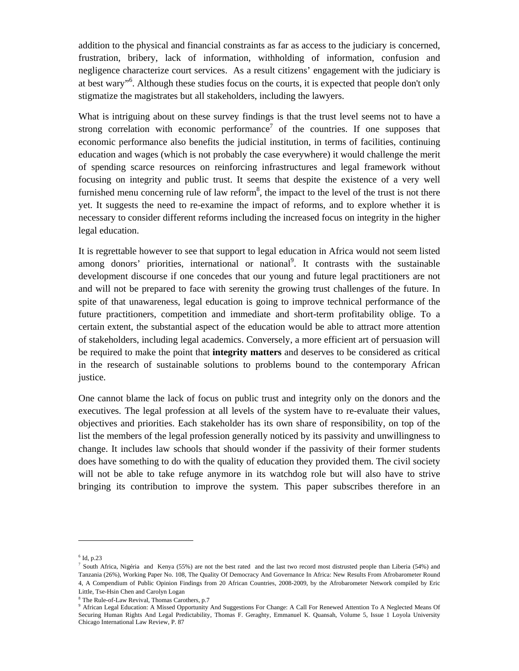addition to the physical and financial constraints as far as access to the judiciary is concerned, frustration, bribery, lack of information, withholding of information, confusion and negligence characterize court services. As a result citizens' engagement with the judiciary is at best wary"<sup>6</sup>. Although these studies focus on the courts, it is expected that people don't only stigmatize the magistrates but all stakeholders, including the lawyers.

What is intriguing about on these survey findings is that the trust level seems not to have a strong correlation with economic performance<sup>7</sup> of the countries. If one supposes that economic performance also benefits the judicial institution, in terms of facilities, continuing education and wages (which is not probably the case everywhere) it would challenge the merit of spending scarce resources on reinforcing infrastructures and legal framework without focusing on integrity and public trust. It seems that despite the existence of a very well furnished menu concerning rule of law reform<sup>8</sup>, the impact to the level of the trust is not there yet. It suggests the need to re-examine the impact of reforms, and to explore whether it is necessary to consider different reforms including the increased focus on integrity in the higher legal education.

It is regrettable however to see that support to legal education in Africa would not seem listed among donors' priorities, international or national<sup>9</sup>. It contrasts with the sustainable development discourse if one concedes that our young and future legal practitioners are not and will not be prepared to face with serenity the growing trust challenges of the future. In spite of that unawareness, legal education is going to improve technical performance of the future practitioners, competition and immediate and short-term profitability oblige. To a certain extent, the substantial aspect of the education would be able to attract more attention of stakeholders, including legal academics. Conversely, a more efficient art of persuasion will be required to make the point that **integrity matters** and deserves to be considered as critical in the research of sustainable solutions to problems bound to the contemporary African justice.

One cannot blame the lack of focus on public trust and integrity only on the donors and the executives. The legal profession at all levels of the system have to re-evaluate their values, objectives and priorities. Each stakeholder has its own share of responsibility, on top of the list the members of the legal profession generally noticed by its passivity and unwillingness to change. It includes law schools that should wonder if the passivity of their former students does have something to do with the quality of education they provided them. The civil society will not be able to take refuge anymore in its watchdog role but will also have to strive bringing its contribution to improve the system. This paper subscribes therefore in an

<sup>6</sup> Id, p.23

<sup>&</sup>lt;sup>7</sup> South Africa, Nigéria and Kenya (55%) are not the best rated and the last two record most distrusted people than Liberia (54%) and Tanzania (26%), Working Paper No. 108, The Quality Of Democracy And Governance In Africa: New Results From Afrobarometer Round 4, A Compendium of Public Opinion Findings from 20 African Countries, 2008-2009, by the Afrobarometer Network compiled by Eric Little, Tse-Hsin Chen and Carolyn Logan

<sup>8</sup> The Rule-of-Law Revival, Thomas Carothers, p.7

<sup>9</sup> African Legal Education: A Missed Opportunity And Suggestions For Change: A Call For Renewed Attention To A Neglected Means Of Securing Human Rights And Legal Predictability, Thomas F. Geraghty, Emmanuel K. Quansah, Volume 5, Issue 1 Loyola University Chicago International Law Review, P. 87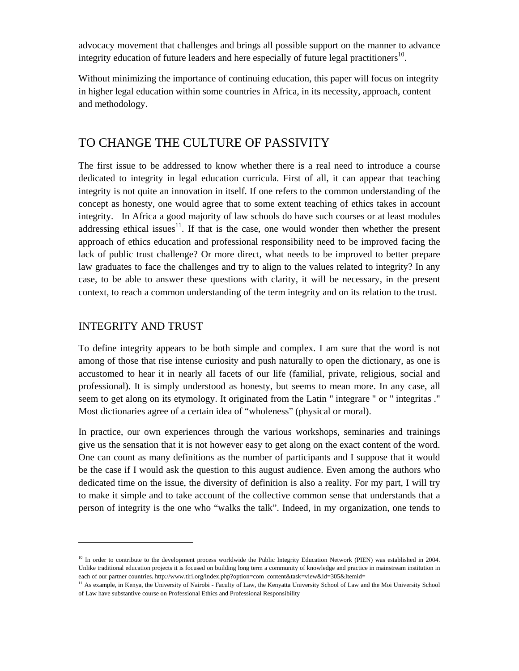advocacy movement that challenges and brings all possible support on the manner to advance integrity education of future leaders and here especially of future legal practitioners<sup>10</sup>.

Without minimizing the importance of continuing education, this paper will focus on integrity in higher legal education within some countries in Africa, in its necessity, approach, content and methodology.

### TO CHANGE THE CULTURE OF PASSIVITY

The first issue to be addressed to know whether there is a real need to introduce a course dedicated to integrity in legal education curricula. First of all, it can appear that teaching integrity is not quite an innovation in itself. If one refers to the common understanding of the concept as honesty, one would agree that to some extent teaching of ethics takes in account integrity. In Africa a good majority of law schools do have such courses or at least modules addressing ethical issues<sup>11</sup>. If that is the case, one would wonder then whether the present approach of ethics education and professional responsibility need to be improved facing the lack of public trust challenge? Or more direct, what needs to be improved to better prepare law graduates to face the challenges and try to align to the values related to integrity? In any case, to be able to answer these questions with clarity, it will be necessary, in the present context, to reach a common understanding of the term integrity and on its relation to the trust.

#### INTEGRITY AND TRUST

To define integrity appears to be both simple and complex. I am sure that the word is not among of those that rise intense curiosity and push naturally to open the dictionary, as one is accustomed to hear it in nearly all facets of our life (familial, private, religious, social and professional). It is simply understood as honesty, but seems to mean more. In any case, all seem to get along on its etymology. It originated from the Latin " integrare " or " integritas ." Most dictionaries agree of a certain idea of "wholeness" (physical or moral).

In practice, our own experiences through the various workshops, seminaries and trainings give us the sensation that it is not however easy to get along on the exact content of the word. One can count as many definitions as the number of participants and I suppose that it would be the case if I would ask the question to this august audience. Even among the authors who dedicated time on the issue, the diversity of definition is also a reality. For my part, I will try to make it simple and to take account of the collective common sense that understands that a person of integrity is the one who "walks the talk". Indeed, in my organization, one tends to

<sup>&</sup>lt;sup>10</sup> In order to contribute to the development process worldwide the Public Integrity Education Network (PIEN) was established in 2004. Unlike traditional education projects it is focused on building long term a community of knowledge and practice in mainstream institution in each of our partner countries. http://www.tiri.org/index.php?option=com\_content&task=view&id=305&Itemid=

<sup>&</sup>lt;sup>11</sup> As example, in Kenya, the University of Nairobi - Faculty of Law, the Kenyatta University School of Law and the Moi University School of Law have substantive course on Professional Ethics and Professional Responsibility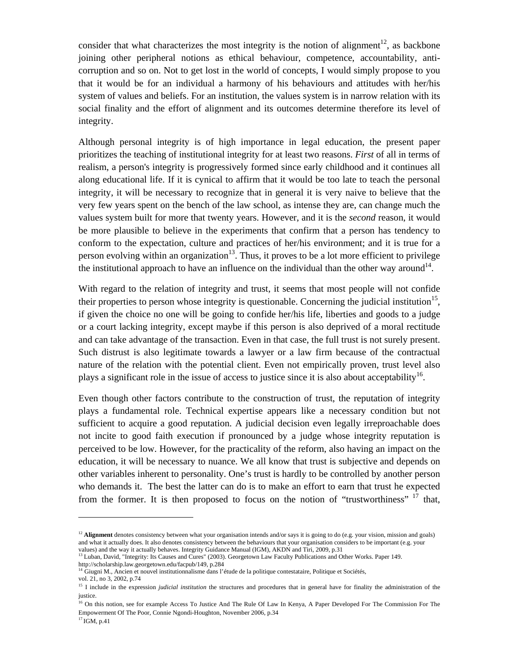consider that what characterizes the most integrity is the notion of alignment<sup>12</sup>, as backbone joining other peripheral notions as ethical behaviour, competence, accountability, anticorruption and so on. Not to get lost in the world of concepts, I would simply propose to you that it would be for an individual a harmony of his behaviours and attitudes with her/his system of values and beliefs. For an institution, the values system is in narrow relation with its social finality and the effort of alignment and its outcomes determine therefore its level of integrity.

Although personal integrity is of high importance in legal education, the present paper prioritizes the teaching of institutional integrity for at least two reasons. *First* of all in terms of realism, a person's integrity is progressively formed since early childhood and it continues all along educational life. If it is cynical to affirm that it would be too late to teach the personal integrity, it will be necessary to recognize that in general it is very naive to believe that the very few years spent on the bench of the law school, as intense they are, can change much the values system built for more that twenty years. However, and it is the *second* reason, it would be more plausible to believe in the experiments that confirm that a person has tendency to conform to the expectation, culture and practices of her/his environment; and it is true for a person evolving within an organization<sup>13</sup>. Thus, it proves to be a lot more efficient to privilege the institutional approach to have an influence on the individual than the other way around<sup>14</sup>.

With regard to the relation of integrity and trust, it seems that most people will not confide their properties to person whose integrity is questionable. Concerning the judicial institution<sup>15</sup>, if given the choice no one will be going to confide her/his life, liberties and goods to a judge or a court lacking integrity, except maybe if this person is also deprived of a moral rectitude and can take advantage of the transaction. Even in that case, the full trust is not surely present. Such distrust is also legitimate towards a lawyer or a law firm because of the contractual nature of the relation with the potential client. Even not empirically proven, trust level also plays a significant role in the issue of access to justice since it is also about acceptability<sup>16</sup>.

Even though other factors contribute to the construction of trust, the reputation of integrity plays a fundamental role. Technical expertise appears like a necessary condition but not sufficient to acquire a good reputation. A judicial decision even legally irreproachable does not incite to good faith execution if pronounced by a judge whose integrity reputation is perceived to be low. However, for the practicality of the reform, also having an impact on the education, it will be necessary to nuance. We all know that trust is subjective and depends on other variables inherent to personality. One's trust is hardly to be controlled by another person who demands it. The best the latter can do is to make an effort to earn that trust he expected from the former. It is then proposed to focus on the notion of "trustworthiness" <sup>17</sup> that,

<sup>&</sup>lt;sup>12</sup> **Alignment** denotes consistency between what your organisation intends and/or says it is going to do (e.g. your vision, mission and goals) and what it actually does. It also denotes consistency between the behaviours that your organisation considers to be important (e.g. your values) and the way it actually behaves. Integrity Guidance Manual (IGM), AKDN and Tiri, 2009, p.31

<sup>&</sup>lt;sup>13</sup> Luban, David, "Integrity: Its Causes and Cures" (2003). Georgetown Law Faculty Publications and Other Works. Paper 149. http://scholarship.law.georgetown.edu/facpub/149, p.284

<sup>&</sup>lt;sup>14</sup> Giugni M., Ancien et nouvel institutionnalisme dans l'étude de la politique contestataire, Politique et Sociétés,

vol. 21, no 3, 2002, p.74

<sup>&</sup>lt;sup>15</sup> I include in the expression *judicial institution* the structures and procedures that in general have for finality the administration of the justice.

<sup>&</sup>lt;sup>16</sup> On this notion, see for example Access To Justice And The Rule Of Law In Kenya, A Paper Developed For The Commission For The Empowerment Of The Poor, Connie Ngondi-Houghton, November 2006, p.34

<sup>&</sup>lt;sup>17</sup> IGM, p.41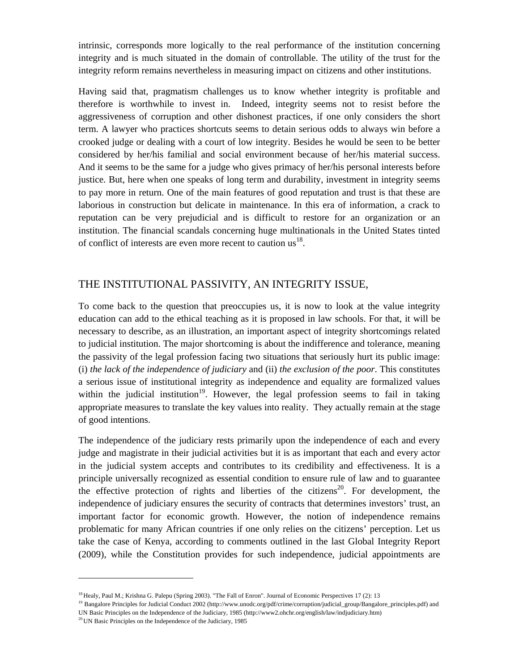intrinsic, corresponds more logically to the real performance of the institution concerning integrity and is much situated in the domain of controllable. The utility of the trust for the integrity reform remains nevertheless in measuring impact on citizens and other institutions.

Having said that, pragmatism challenges us to know whether integrity is profitable and therefore is worthwhile to invest in. Indeed, integrity seems not to resist before the aggressiveness of corruption and other dishonest practices, if one only considers the short term. A lawyer who practices shortcuts seems to detain serious odds to always win before a crooked judge or dealing with a court of low integrity. Besides he would be seen to be better considered by her/his familial and social environment because of her/his material success. And it seems to be the same for a judge who gives primacy of her/his personal interests before justice. But, here when one speaks of long term and durability, investment in integrity seems to pay more in return. One of the main features of good reputation and trust is that these are laborious in construction but delicate in maintenance. In this era of information, a crack to reputation can be very prejudicial and is difficult to restore for an organization or an institution. The financial scandals concerning huge multinationals in the United States tinted of conflict of interests are even more recent to caution  $us^{18}$ .

#### THE INSTITUTIONAL PASSIVITY, AN INTEGRITY ISSUE,

To come back to the question that preoccupies us, it is now to look at the value integrity education can add to the ethical teaching as it is proposed in law schools. For that, it will be necessary to describe, as an illustration, an important aspect of integrity shortcomings related to judicial institution. The major shortcoming is about the indifference and tolerance, meaning the passivity of the legal profession facing two situations that seriously hurt its public image: (i) *the lack of the independence of judiciary* and (ii) *the exclusion of the poor*. This constitutes a serious issue of institutional integrity as independence and equality are formalized values within the judicial institution<sup>19</sup>. However, the legal profession seems to fail in taking appropriate measures to translate the key values into reality. They actually remain at the stage of good intentions.

The independence of the judiciary rests primarily upon the independence of each and every judge and magistrate in their judicial activities but it is as important that each and every actor in the judicial system accepts and contributes to its credibility and effectiveness. It is a principle universally recognized as essential condition to ensure rule of law and to guarantee the effective protection of rights and liberties of the citizens<sup>20</sup>. For development, the independence of judiciary ensures the security of contracts that determines investors' trust, an important factor for economic growth. However, the notion of independence remains problematic for many African countries if one only relies on the citizens' perception. Let us take the case of Kenya, according to comments outlined in the last Global Integrity Report (2009), while the Constitution provides for such independence, judicial appointments are

<sup>&</sup>lt;sup>18</sup> Healy, Paul M.; Krishna G. Palepu (Spring 2003). "The Fall of Enron". Journal of Economic Perspectives 17 (2): 13

<sup>&</sup>lt;sup>19</sup> Bangalore Principles for Judicial Conduct 2002 (http://www.unodc.org/pdf/crime/corruption/judicial\_group/Bangalore\_principles.pdf) and UN Basic Principles on the Independence of the Judiciary, 1985 (http://www2.ohchr.org/english/law/indjudiciary.htm) <sup>20</sup> UN Basic Principles on the Independence of the Judiciary, 1985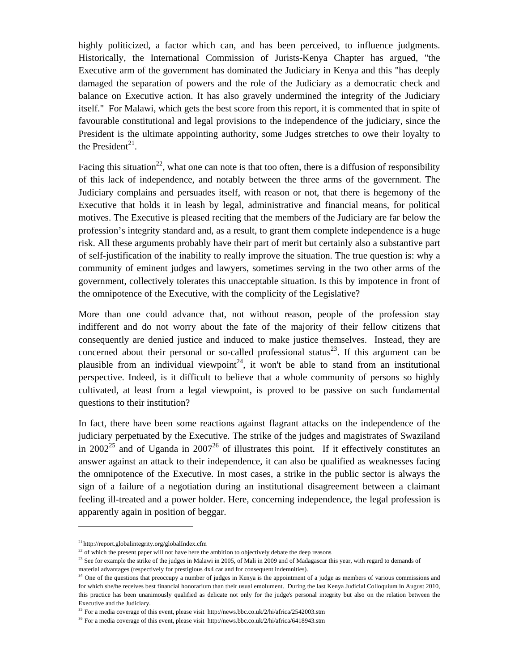highly politicized, a factor which can, and has been perceived, to influence judgments. Historically, the International Commission of Jurists-Kenya Chapter has argued, "the Executive arm of the government has dominated the Judiciary in Kenya and this "has deeply damaged the separation of powers and the role of the Judiciary as a democratic check and balance on Executive action. It has also gravely undermined the integrity of the Judiciary itself." For Malawi, which gets the best score from this report, it is commented that in spite of favourable constitutional and legal provisions to the independence of the judiciary, since the President is the ultimate appointing authority, some Judges stretches to owe their loyalty to the President<sup>21</sup>.

Facing this situation<sup>22</sup>, what one can note is that too often, there is a diffusion of responsibility of this lack of independence, and notably between the three arms of the government. The Judiciary complains and persuades itself, with reason or not, that there is hegemony of the Executive that holds it in leash by legal, administrative and financial means, for political motives. The Executive is pleased reciting that the members of the Judiciary are far below the profession's integrity standard and, as a result, to grant them complete independence is a huge risk. All these arguments probably have their part of merit but certainly also a substantive part of self-justification of the inability to really improve the situation. The true question is: why a community of eminent judges and lawyers, sometimes serving in the two other arms of the government, collectively tolerates this unacceptable situation. Is this by impotence in front of the omnipotence of the Executive, with the complicity of the Legislative?

More than one could advance that, not without reason, people of the profession stay indifferent and do not worry about the fate of the majority of their fellow citizens that consequently are denied justice and induced to make justice themselves. Instead, they are concerned about their personal or so-called professional status<sup>23</sup>. If this argument can be plausible from an individual viewpoint<sup>24</sup>, it won't be able to stand from an institutional perspective. Indeed, is it difficult to believe that a whole community of persons so highly cultivated, at least from a legal viewpoint, is proved to be passive on such fundamental questions to their institution?

In fact, there have been some reactions against flagrant attacks on the independence of the judiciary perpetuated by the Executive. The strike of the judges and magistrates of Swaziland in 2002<sup>25</sup> and of Uganda in 2007<sup>26</sup> of illustrates this point. If it effectively constitutes an answer against an attack to their independence, it can also be qualified as weaknesses facing the omnipotence of the Executive. In most cases, a strike in the public sector is always the sign of a failure of a negotiation during an institutional disagreement between a claimant feeling ill-treated and a power holder. Here, concerning independence, the legal profession is apparently again in position of beggar.

material advantages (respectively for prestigious 4x4 car and for consequent indemnities).

<sup>&</sup>lt;sup>21</sup> http://report.globalintegrity.org/globalIndex.cfm<br>
<sup>22</sup> of which the present paper will not have here the ambition to objectively debate the deep reasons

<sup>&</sup>lt;sup>23</sup> See for example the strike of the judges in Malawi in 2005, of Mali in 2009 and of Madagascar this year, with regard to demands of

<sup>&</sup>lt;sup>24</sup> One of the questions that preoccupy a number of judges in Kenya is the appointment of a judge as members of various commissions and for which she/he receives best financial honorarium than their usual emolument. During the last Kenya Judicial Colloquium in August 2010, this practice has been unanimously qualified as delicate not only for the judge's personal integrity but also on the relation between the Executive and the Judiciary.

<sup>&</sup>lt;sup>25</sup> For a media coverage of this event, please visit http://news.bbc.co.uk/2/hi/africa/2542003.stm

<sup>&</sup>lt;sup>26</sup> For a media coverage of this event, please visit http://news.bbc.co.uk/2/hi/africa/6418943.stm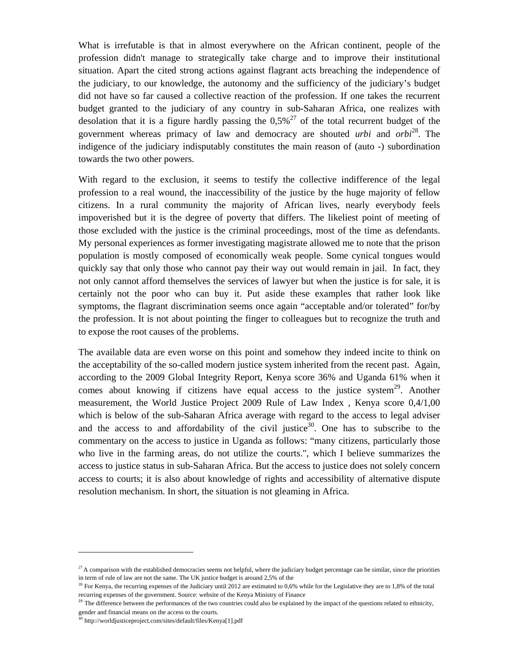What is irrefutable is that in almost everywhere on the African continent, people of the profession didn't manage to strategically take charge and to improve their institutional situation. Apart the cited strong actions against flagrant acts breaching the independence of the judiciary, to our knowledge, the autonomy and the sufficiency of the judiciary's budget did not have so far caused a collective reaction of the profession. If one takes the recurrent budget granted to the judiciary of any country in sub-Saharan Africa, one realizes with desolation that it is a figure hardly passing the  $0.5\%^{27}$  of the total recurrent budget of the government whereas primacy of law and democracy are shouted *urbi* and *orbi*28. The indigence of the judiciary indisputably constitutes the main reason of (auto -) subordination towards the two other powers.

With regard to the exclusion, it seems to testify the collective indifference of the legal profession to a real wound, the inaccessibility of the justice by the huge majority of fellow citizens. In a rural community the majority of African lives, nearly everybody feels impoverished but it is the degree of poverty that differs. The likeliest point of meeting of those excluded with the justice is the criminal proceedings, most of the time as defendants. My personal experiences as former investigating magistrate allowed me to note that the prison population is mostly composed of economically weak people. Some cynical tongues would quickly say that only those who cannot pay their way out would remain in jail. In fact, they not only cannot afford themselves the services of lawyer but when the justice is for sale, it is certainly not the poor who can buy it. Put aside these examples that rather look like symptoms, the flagrant discrimination seems once again "acceptable and/or tolerated" for/by the profession. It is not about pointing the finger to colleagues but to recognize the truth and to expose the root causes of the problems.

The available data are even worse on this point and somehow they indeed incite to think on the acceptability of the so-called modern justice system inherited from the recent past. Again, according to the 2009 Global Integrity Report, Kenya score 36% and Uganda 61% when it comes about knowing if citizens have equal access to the justice system<sup>29</sup>. Another measurement, the World Justice Project 2009 Rule of Law Index , Kenya score 0,4/1,00 which is below of the sub-Saharan Africa average with regard to the access to legal adviser and the access to and affordability of the civil justice<sup>30</sup>. One has to subscribe to the commentary on the access to justice in Uganda as follows: "many citizens, particularly those who live in the farming areas, do not utilize the courts.", which I believe summarizes the access to justice status in sub-Saharan Africa. But the access to justice does not solely concern access to courts; it is also about knowledge of rights and accessibility of alternative dispute resolution mechanism. In short, the situation is not gleaming in Africa.

 $27$  A comparison with the established democracies seems not helpful, where the judiciary budget percentage can be similar, since the priorities in term of rule of law are not the same. The UK justice budget is around 2,5% of the

<sup>&</sup>lt;sup>28</sup> For Kenya, the recurring expenses of the Judiciary until 2012 are estimated to 0,6% while for the Legislative they are to 1,8% of the total recurring expenses of the government. Source: website of the Kenya Ministry of Finance

<sup>&</sup>lt;sup>29</sup> The difference between the performances of the two countries could also be explained by the impact of the questions related to ethnicity, gender and financial means on the access to the courts.

<sup>&</sup>lt;sup>30</sup> http://worldjusticeproject.com/sites/default/files/Kenya[1].pdf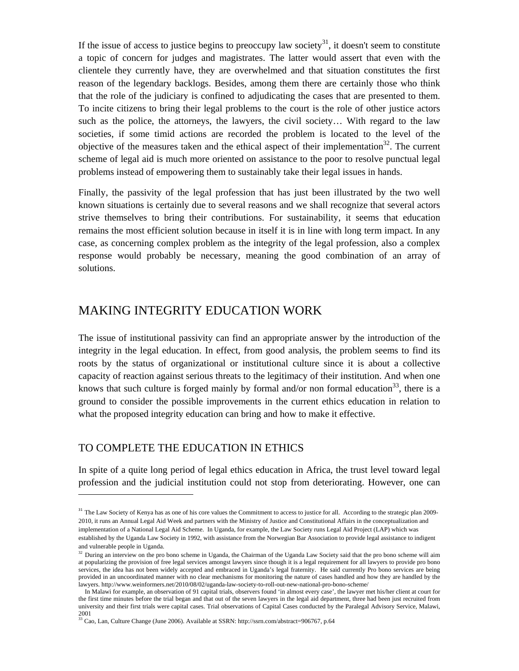If the issue of access to justice begins to preoccupy law society<sup>31</sup>, it doesn't seem to constitute a topic of concern for judges and magistrates. The latter would assert that even with the clientele they currently have, they are overwhelmed and that situation constitutes the first reason of the legendary backlogs. Besides, among them there are certainly those who think that the role of the judiciary is confined to adjudicating the cases that are presented to them. To incite citizens to bring their legal problems to the court is the role of other justice actors such as the police, the attorneys, the lawyers, the civil society… With regard to the law societies, if some timid actions are recorded the problem is located to the level of the objective of the measures taken and the ethical aspect of their implementation<sup>32</sup>. The current scheme of legal aid is much more oriented on assistance to the poor to resolve punctual legal problems instead of empowering them to sustainably take their legal issues in hands.

Finally, the passivity of the legal profession that has just been illustrated by the two well known situations is certainly due to several reasons and we shall recognize that several actors strive themselves to bring their contributions. For sustainability, it seems that education remains the most efficient solution because in itself it is in line with long term impact. In any case, as concerning complex problem as the integrity of the legal profession, also a complex response would probably be necessary, meaning the good combination of an array of solutions.

## MAKING INTEGRITY EDUCATION WORK

The issue of institutional passivity can find an appropriate answer by the introduction of the integrity in the legal education. In effect, from good analysis, the problem seems to find its roots by the status of organizational or institutional culture since it is about a collective capacity of reaction against serious threats to the legitimacy of their institution. And when one knows that such culture is forged mainly by formal and/or non formal education<sup>33</sup>, there is a ground to consider the possible improvements in the current ethics education in relation to what the proposed integrity education can bring and how to make it effective.

#### TO COMPLETE THE EDUCATION IN ETHICS

In spite of a quite long period of legal ethics education in Africa, the trust level toward legal profession and the judicial institution could not stop from deteriorating. However, one can

<sup>&</sup>lt;sup>31</sup> The Law Society of Kenya has as one of his core values the Commitment to access to justice for all. According to the strategic plan 2009-2010, it runs an Annual Legal Aid Week and partners with the Ministry of Justice and Constitutional Affairs in the conceptualization and implementation of a National Legal Aid Scheme. In Uganda, for example, the Law Society runs Legal Aid Project (LAP) which was established by the Uganda Law Society in 1992, with assistance from the Norwegian Bar Association to provide legal assistance to indigent and vulnerable people in Uganda.

<sup>&</sup>lt;sup>32</sup> During an interview on the pro bono scheme in Uganda, the Chairman of the Uganda Law Society said that the pro bono scheme will aim at popularizing the provision of free legal services amongst lawyers since though it is a legal requirement for all lawyers to provide pro bono services, the idea has not been widely accepted and embraced in Uganda's legal fraternity. He said currently Pro bono services are being provided in an uncoordinated manner with no clear mechanisms for monitoring the nature of cases handled and how they are handled by the lawyers. http://www.weinformers.net/2010/08/02/uganda-law-society-to-roll-out-new-national-pro-bono-scheme/

In Malawi for example, an observation of 91 capital trials, observers found 'in almost every case', the lawyer met his/her client at court for the first time minutes before the trial began and that out of the seven lawyers in the legal aid department, three had been just recruited from university and their first trials were capital cases. Trial observations of Capital Cases conducted by the Paralegal Advisory Service, Malawi, 2001<br><sup>33</sup> Cao, Lan, Culture Change (June 2006). Available at SSRN: http://ssrn.com/abstract=906767, p.64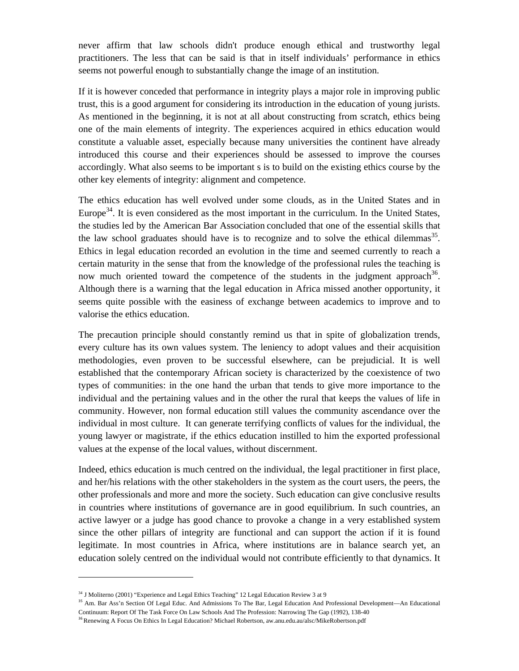never affirm that law schools didn't produce enough ethical and trustworthy legal practitioners. The less that can be said is that in itself individuals' performance in ethics seems not powerful enough to substantially change the image of an institution.

If it is however conceded that performance in integrity plays a major role in improving public trust, this is a good argument for considering its introduction in the education of young jurists. As mentioned in the beginning, it is not at all about constructing from scratch, ethics being one of the main elements of integrity. The experiences acquired in ethics education would constitute a valuable asset, especially because many universities the continent have already introduced this course and their experiences should be assessed to improve the courses accordingly. What also seems to be important s is to build on the existing ethics course by the other key elements of integrity: alignment and competence.

The ethics education has well evolved under some clouds, as in the United States and in Europe<sup>34</sup>. It is even considered as the most important in the curriculum. In the United States, the studies led by the American Bar Association concluded that one of the essential skills that the law school graduates should have is to recognize and to solve the ethical dilemmas<sup>35</sup>. Ethics in legal education recorded an evolution in the time and seemed currently to reach a certain maturity in the sense that from the knowledge of the professional rules the teaching is now much oriented toward the competence of the students in the judgment approach<sup>36</sup>. Although there is a warning that the legal education in Africa missed another opportunity, it seems quite possible with the easiness of exchange between academics to improve and to valorise the ethics education.

The precaution principle should constantly remind us that in spite of globalization trends, every culture has its own values system. The leniency to adopt values and their acquisition methodologies, even proven to be successful elsewhere, can be prejudicial. It is well established that the contemporary African society is characterized by the coexistence of two types of communities: in the one hand the urban that tends to give more importance to the individual and the pertaining values and in the other the rural that keeps the values of life in community. However, non formal education still values the community ascendance over the individual in most culture. It can generate terrifying conflicts of values for the individual, the young lawyer or magistrate, if the ethics education instilled to him the exported professional values at the expense of the local values, without discernment.

Indeed, ethics education is much centred on the individual, the legal practitioner in first place, and her/his relations with the other stakeholders in the system as the court users, the peers, the other professionals and more and more the society. Such education can give conclusive results in countries where institutions of governance are in good equilibrium. In such countries, an active lawyer or a judge has good chance to provoke a change in a very established system since the other pillars of integrity are functional and can support the action if it is found legitimate. In most countries in Africa, where institutions are in balance search yet, an education solely centred on the individual would not contribute efficiently to that dynamics. It

<sup>&</sup>lt;sup>34</sup> J Moliterno (2001) "Experience and Legal Ethics Teaching" 12 Legal Education Review 3 at 9

<sup>&</sup>lt;sup>35</sup> Am. Bar Ass'n Section Of Legal Educ. And Admissions To The Bar, Legal Education And Professional Development—An Educational Continuum: Report Of The Task Force On Law Schools And The Profession: Narrowing The Gap (1992), 138-40

<sup>&</sup>lt;sup>36</sup> Renewing A Focus On Ethics In Legal Education? Michael Robertson, aw.anu.edu.au/alsc/MikeRobertson.pdf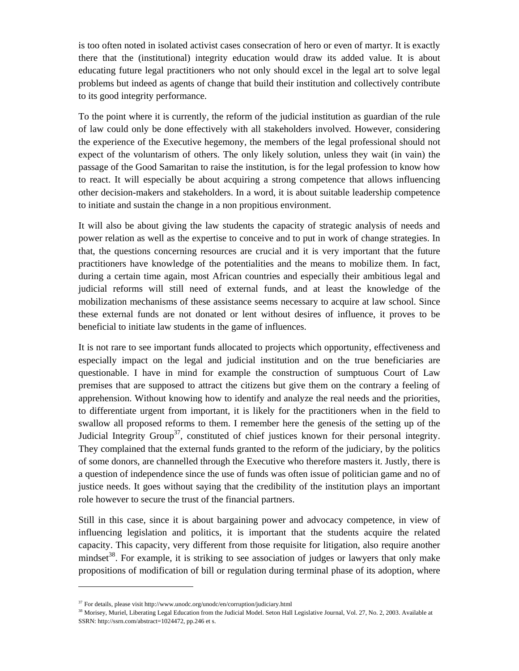is too often noted in isolated activist cases consecration of hero or even of martyr. It is exactly there that the (institutional) integrity education would draw its added value. It is about educating future legal practitioners who not only should excel in the legal art to solve legal problems but indeed as agents of change that build their institution and collectively contribute to its good integrity performance.

To the point where it is currently, the reform of the judicial institution as guardian of the rule of law could only be done effectively with all stakeholders involved. However, considering the experience of the Executive hegemony, the members of the legal professional should not expect of the voluntarism of others. The only likely solution, unless they wait (in vain) the passage of the Good Samaritan to raise the institution, is for the legal profession to know how to react. It will especially be about acquiring a strong competence that allows influencing other decision-makers and stakeholders. In a word, it is about suitable leadership competence to initiate and sustain the change in a non propitious environment.

It will also be about giving the law students the capacity of strategic analysis of needs and power relation as well as the expertise to conceive and to put in work of change strategies. In that, the questions concerning resources are crucial and it is very important that the future practitioners have knowledge of the potentialities and the means to mobilize them. In fact, during a certain time again, most African countries and especially their ambitious legal and judicial reforms will still need of external funds, and at least the knowledge of the mobilization mechanisms of these assistance seems necessary to acquire at law school. Since these external funds are not donated or lent without desires of influence, it proves to be beneficial to initiate law students in the game of influences.

It is not rare to see important funds allocated to projects which opportunity, effectiveness and especially impact on the legal and judicial institution and on the true beneficiaries are questionable. I have in mind for example the construction of sumptuous Court of Law premises that are supposed to attract the citizens but give them on the contrary a feeling of apprehension. Without knowing how to identify and analyze the real needs and the priorities, to differentiate urgent from important, it is likely for the practitioners when in the field to swallow all proposed reforms to them. I remember here the genesis of the setting up of the Judicial Integrity Group<sup>37</sup>, constituted of chief justices known for their personal integrity. They complained that the external funds granted to the reform of the judiciary, by the politics of some donors, are channelled through the Executive who therefore masters it. Justly, there is a question of independence since the use of funds was often issue of politician game and no of justice needs. It goes without saying that the credibility of the institution plays an important role however to secure the trust of the financial partners.

Still in this case, since it is about bargaining power and advocacy competence, in view of influencing legislation and politics, it is important that the students acquire the related capacity. This capacity, very different from those requisite for litigation, also require another mindset<sup>38</sup>. For example, it is striking to see association of judges or lawyers that only make propositions of modification of bill or regulation during terminal phase of its adoption, where

 $37$  For details, please visit http://www.unodc.org/unodc/en/corruption/judiciary.html

<sup>&</sup>lt;sup>38</sup> Morisey, Muriel, Liberating Legal Education from the Judicial Model. Seton Hall Legislative Journal, Vol. 27, No. 2, 2003. Available at SSRN: http://ssrn.com/abstract=1024472, pp.246 et s.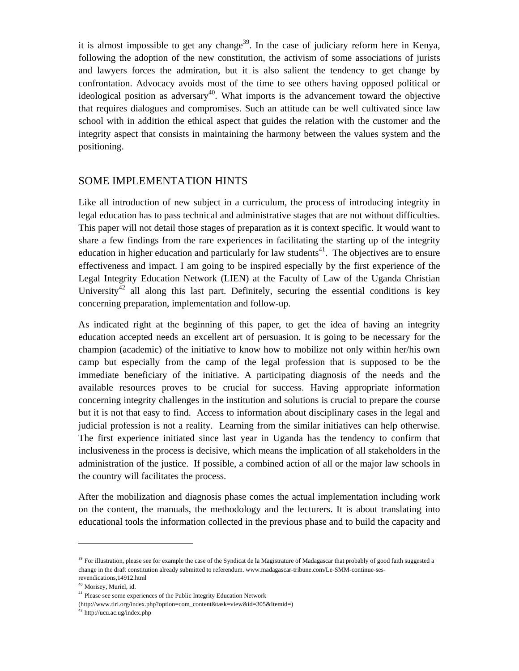it is almost impossible to get any change<sup>39</sup>. In the case of judiciary reform here in Kenya, following the adoption of the new constitution, the activism of some associations of jurists and lawyers forces the admiration, but it is also salient the tendency to get change by confrontation. Advocacy avoids most of the time to see others having opposed political or ideological position as adversary<sup>40</sup>. What imports is the advancement toward the objective that requires dialogues and compromises. Such an attitude can be well cultivated since law school with in addition the ethical aspect that guides the relation with the customer and the integrity aspect that consists in maintaining the harmony between the values system and the positioning.

#### SOME IMPLEMENTATION HINTS

Like all introduction of new subject in a curriculum, the process of introducing integrity in legal education has to pass technical and administrative stages that are not without difficulties. This paper will not detail those stages of preparation as it is context specific. It would want to share a few findings from the rare experiences in facilitating the starting up of the integrity education in higher education and particularly for law students<sup>41</sup>. The objectives are to ensure effectiveness and impact. I am going to be inspired especially by the first experience of the Legal Integrity Education Network (LIEN) at the Faculty of Law of the Uganda Christian University<sup>42</sup> all along this last part. Definitely, securing the essential conditions is key concerning preparation, implementation and follow-up.

As indicated right at the beginning of this paper, to get the idea of having an integrity education accepted needs an excellent art of persuasion. It is going to be necessary for the champion (academic) of the initiative to know how to mobilize not only within her/his own camp but especially from the camp of the legal profession that is supposed to be the immediate beneficiary of the initiative. A participating diagnosis of the needs and the available resources proves to be crucial for success. Having appropriate information concerning integrity challenges in the institution and solutions is crucial to prepare the course but it is not that easy to find. Access to information about disciplinary cases in the legal and judicial profession is not a reality. Learning from the similar initiatives can help otherwise. The first experience initiated since last year in Uganda has the tendency to confirm that inclusiveness in the process is decisive, which means the implication of all stakeholders in the administration of the justice. If possible, a combined action of all or the major law schools in the country will facilitates the process.

After the mobilization and diagnosis phase comes the actual implementation including work on the content, the manuals, the methodology and the lecturers. It is about translating into educational tools the information collected in the previous phase and to build the capacity and

<sup>&</sup>lt;sup>39</sup> For illustration, please see for example the case of the Syndicat de la Magistrature of Madagascar that probably of good faith suggested a change in the draft constitution already submitted to referendum. www.madagascar-tribune.com/Le-SMM-continue-sesrevendications,14912.html

<sup>40</sup> Morisey, Muriel, id.

<sup>&</sup>lt;sup>41</sup> Please see some experiences of the Public Integrity Education Network (http://www.tiri.org/index.php?option=com\_content&task=view&id=305&Itemid=)

<sup>42</sup> http://ucu.ac.ug/index.php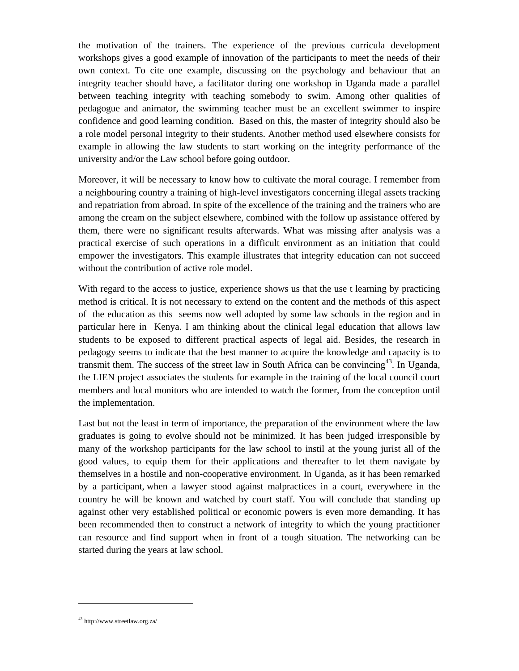the motivation of the trainers. The experience of the previous curricula development workshops gives a good example of innovation of the participants to meet the needs of their own context. To cite one example, discussing on the psychology and behaviour that an integrity teacher should have, a facilitator during one workshop in Uganda made a parallel between teaching integrity with teaching somebody to swim. Among other qualities of pedagogue and animator, the swimming teacher must be an excellent swimmer to inspire confidence and good learning condition. Based on this, the master of integrity should also be a role model personal integrity to their students. Another method used elsewhere consists for example in allowing the law students to start working on the integrity performance of the university and/or the Law school before going outdoor.

Moreover, it will be necessary to know how to cultivate the moral courage. I remember from a neighbouring country a training of high-level investigators concerning illegal assets tracking and repatriation from abroad. In spite of the excellence of the training and the trainers who are among the cream on the subject elsewhere, combined with the follow up assistance offered by them, there were no significant results afterwards. What was missing after analysis was a practical exercise of such operations in a difficult environment as an initiation that could empower the investigators. This example illustrates that integrity education can not succeed without the contribution of active role model.

With regard to the access to justice, experience shows us that the use t learning by practicing method is critical. It is not necessary to extend on the content and the methods of this aspect of the education as this seems now well adopted by some law schools in the region and in particular here in Kenya. I am thinking about the clinical legal education that allows law students to be exposed to different practical aspects of legal aid. Besides, the research in pedagogy seems to indicate that the best manner to acquire the knowledge and capacity is to transmit them. The success of the street law in South Africa can be convincing<sup>43</sup>. In Uganda, the LIEN project associates the students for example in the training of the local council court members and local monitors who are intended to watch the former, from the conception until the implementation.

Last but not the least in term of importance, the preparation of the environment where the law graduates is going to evolve should not be minimized. It has been judged irresponsible by many of the workshop participants for the law school to instil at the young jurist all of the good values, to equip them for their applications and thereafter to let them navigate by themselves in a hostile and non-cooperative environment. In Uganda, as it has been remarked by a participant, when a lawyer stood against malpractices in a court, everywhere in the country he will be known and watched by court staff. You will conclude that standing up against other very established political or economic powers is even more demanding. It has been recommended then to construct a network of integrity to which the young practitioner can resource and find support when in front of a tough situation. The networking can be started during the years at law school.

<sup>43</sup> http://www.streetlaw.org.za/